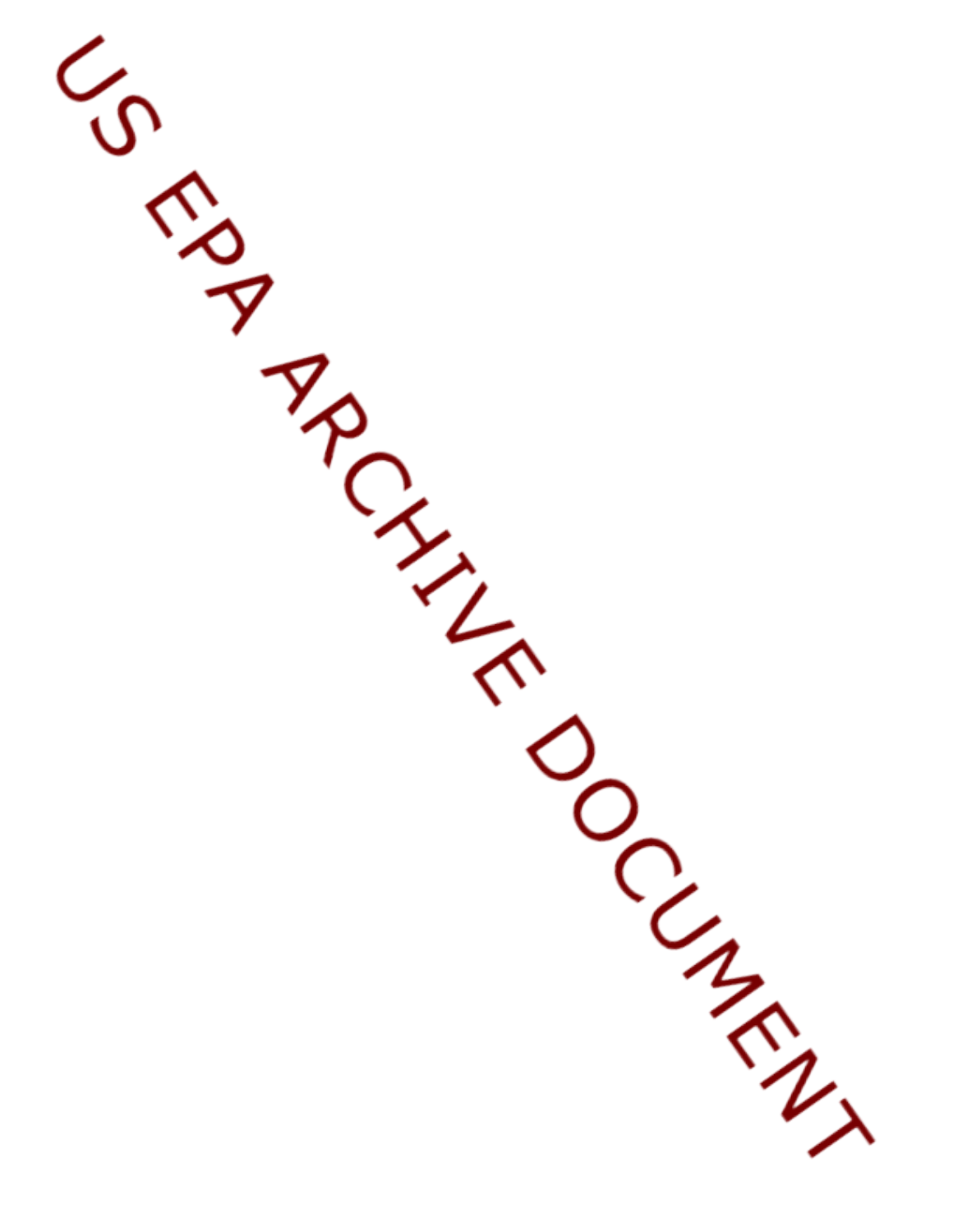